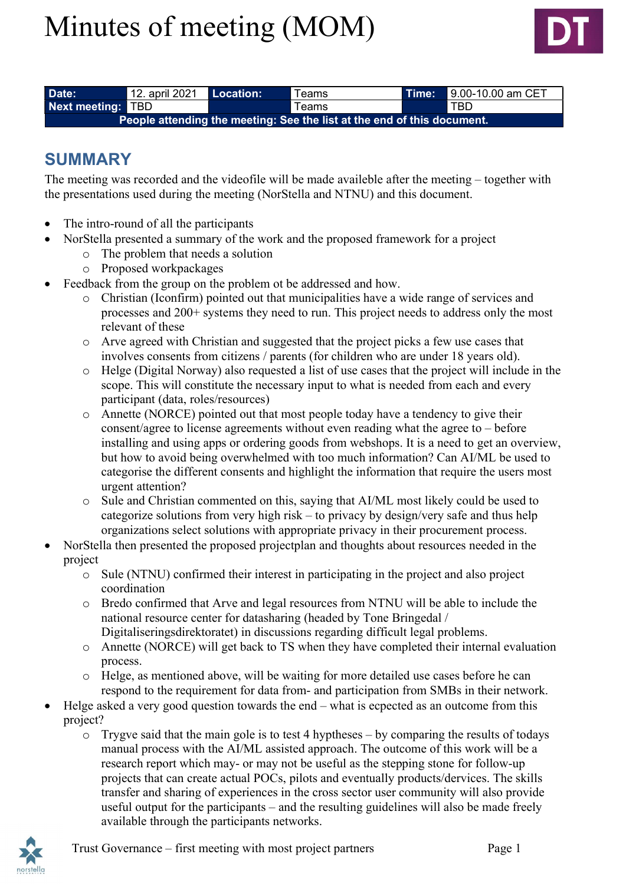# Minutes of meeting (MOM)



| Date:                                                                                         | 12. april 2021 Location: |  | <b>Teams</b> | <b>\Time:\</b> | 9.00-10.00 am CET |  |  |
|-----------------------------------------------------------------------------------------------|--------------------------|--|--------------|----------------|-------------------|--|--|
| Next meeting: TBD                                                                             |                          |  | Геаms        |                | <b>TBD</b>        |  |  |
| People attending the meeting: See the list at the end <u>of this document.</u> $\blacksquare$ |                          |  |              |                |                   |  |  |

#### SUMMARY

The meeting was recorded and the videofile will be made availeble after the meeting – together with the presentations used during the meeting (NorStella and NTNU) and this document.

- The intro-round of all the participants
- NorStella presented a summary of the work and the proposed framework for a project
	- o The problem that needs a solution
	- o Proposed workpackages
- Feedback from the group on the problem ot be addressed and how.
	- o Christian (Iconfirm) pointed out that municipalities have a wide range of services and processes and 200+ systems they need to run. This project needs to address only the most relevant of these
	- o Arve agreed with Christian and suggested that the project picks a few use cases that involves consents from citizens / parents (for children who are under 18 years old).
	- o Helge (Digital Norway) also requested a list of use cases that the project will include in the scope. This will constitute the necessary input to what is needed from each and every participant (data, roles/resources)
	- o Annette (NORCE) pointed out that most people today have a tendency to give their consent/agree to license agreements without even reading what the agree to – before installing and using apps or ordering goods from webshops. It is a need to get an overview, but how to avoid being overwhelmed with too much information? Can AI/ML be used to categorise the different consents and highlight the information that require the users most urgent attention?
	- o Sule and Christian commented on this, saying that AI/ML most likely could be used to categorize solutions from very high risk – to privacy by design/very safe and thus help organizations select solutions with appropriate privacy in their procurement process.
- NorStella then presented the proposed projectplan and thoughts about resources needed in the project
	- o Sule (NTNU) confirmed their interest in participating in the project and also project coordination
	- o Bredo confirmed that Arve and legal resources from NTNU will be able to include the national resource center for datasharing (headed by Tone Bringedal / Digitaliseringsdirektoratet) in discussions regarding difficult legal problems.
	- o Annette (NORCE) will get back to TS when they have completed their internal evaluation process.
	- o Helge, as mentioned above, will be waiting for more detailed use cases before he can respond to the requirement for data from- and participation from SMBs in their network.
- Helge asked a very good question towards the end what is ecpected as an outcome from this project?
	- o Trygve said that the main gole is to test 4 hyptheses by comparing the results of todays manual process with the AI/ML assisted approach. The outcome of this work will be a research report which may- or may not be useful as the stepping stone for follow-up projects that can create actual POCs, pilots and eventually products/dervices. The skills transfer and sharing of experiences in the cross sector user community will also provide useful output for the participants – and the resulting guidelines will also be made freely available through the participants networks.